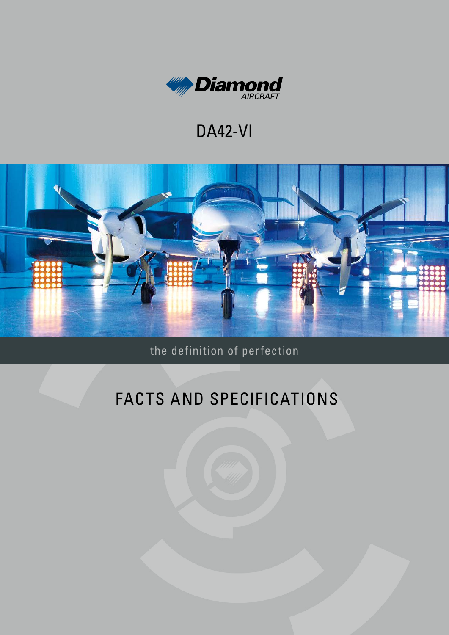

## **DA42-VI**



the definition of perfection

# FACTS AND SPECIFICATIONS